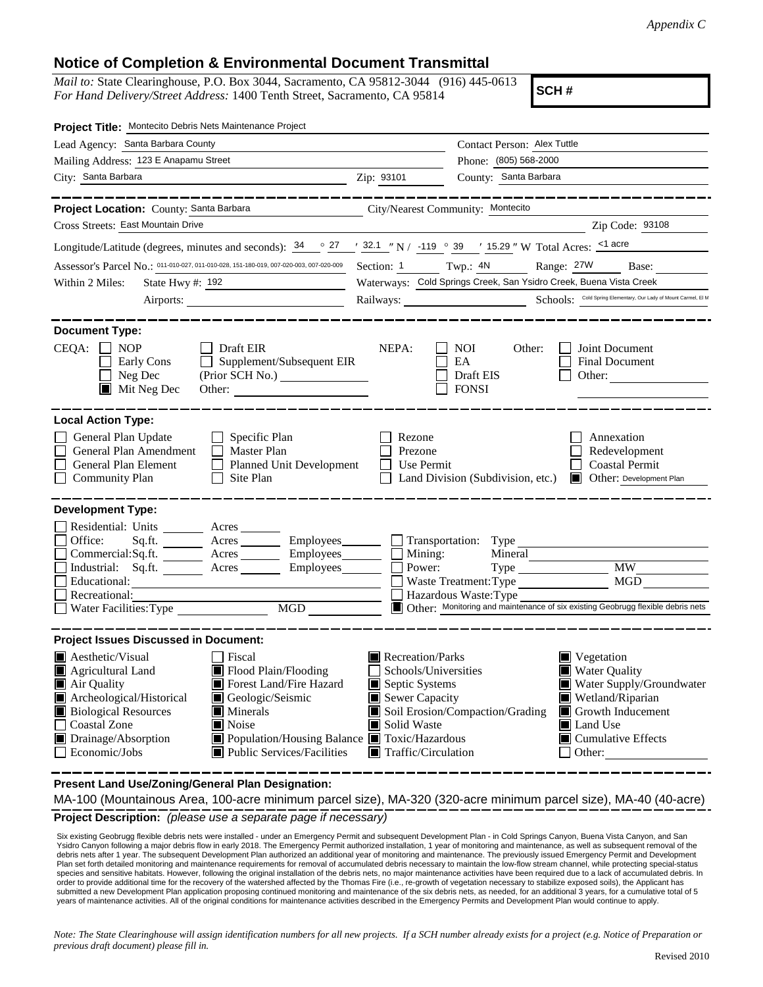## **Notice of Completion & Environmental Document Transmittal**

*Mail to:* State Clearinghouse, P.O. Box 3044, Sacramento, CA 95812-3044 (916) 445-0613 *For Hand Delivery/Street Address:* 1400 Tenth Street, Sacramento, CA 95814

**SCH #**

| Project Title: Montecito Debris Nets Maintenance Project                                                                                                                                                                                                                                                                                                                  |                                                                                                                                                                                                                                                                                                                                                                                                           |  |  |
|---------------------------------------------------------------------------------------------------------------------------------------------------------------------------------------------------------------------------------------------------------------------------------------------------------------------------------------------------------------------------|-----------------------------------------------------------------------------------------------------------------------------------------------------------------------------------------------------------------------------------------------------------------------------------------------------------------------------------------------------------------------------------------------------------|--|--|
| Lead Agency: Santa Barbara County                                                                                                                                                                                                                                                                                                                                         | Contact Person: Alex Tuttle                                                                                                                                                                                                                                                                                                                                                                               |  |  |
| Mailing Address: 123 E Anapamu Street                                                                                                                                                                                                                                                                                                                                     | Phone: (805) 568-2000                                                                                                                                                                                                                                                                                                                                                                                     |  |  |
| City: Santa Barbara<br><u> 1980 - John Stein, mars and de Brazilian (b. 1980)</u>                                                                                                                                                                                                                                                                                         | County: Santa Barbara<br>Zip: 93101                                                                                                                                                                                                                                                                                                                                                                       |  |  |
| Project Location: County: Santa Barbara                                                                                                                                                                                                                                                                                                                                   | City/Nearest Community: Montecito                                                                                                                                                                                                                                                                                                                                                                         |  |  |
| Cross Streets: East Mountain Drive                                                                                                                                                                                                                                                                                                                                        | Zip Code: 93108                                                                                                                                                                                                                                                                                                                                                                                           |  |  |
| Longitude/Latitude (degrees, minutes and seconds): $\frac{34}{27}$ $\frac{27}{132.1}$ N/ -119 $\degree$ 39 / 15.29 " W Total Acres: $\frac{124}{132.1}$ acre                                                                                                                                                                                                              |                                                                                                                                                                                                                                                                                                                                                                                                           |  |  |
| Assessor's Parcel No.: 011-010-027, 011-010-028, 151-180-019, 007-020-003, 007-020-009                                                                                                                                                                                                                                                                                    | Range: 27W<br>Section: 1 Twp.: 4N<br>Base:                                                                                                                                                                                                                                                                                                                                                                |  |  |
| State Hwy #: 192<br>Within 2 Miles:                                                                                                                                                                                                                                                                                                                                       | Waterways: Cold Springs Creek, San Ysidro Creek, Buena Vista Creek                                                                                                                                                                                                                                                                                                                                        |  |  |
|                                                                                                                                                                                                                                                                                                                                                                           | Railways: Schools: Cold Spring Elementary, Our Lady of Mount Carmel, El M                                                                                                                                                                                                                                                                                                                                 |  |  |
| <b>Document Type:</b>                                                                                                                                                                                                                                                                                                                                                     |                                                                                                                                                                                                                                                                                                                                                                                                           |  |  |
| $CEQA: \Box NP$<br>$\Box$ Draft EIR<br>Supplement/Subsequent EIR<br>Early Cons<br>Neg Dec<br>$\blacksquare$ Mit Neg Dec<br>Other:                                                                                                                                                                                                                                         | NEPA:<br><b>NOI</b><br>Other:<br>Joint Document<br>$\perp$<br>EA<br>Final Document<br>Draft EIS<br>Other:<br><b>FONSI</b>                                                                                                                                                                                                                                                                                 |  |  |
| <b>Local Action Type:</b>                                                                                                                                                                                                                                                                                                                                                 |                                                                                                                                                                                                                                                                                                                                                                                                           |  |  |
| General Plan Update<br>$\Box$ Specific Plan<br>General Plan Amendment<br>$\Box$ Master Plan<br>General Plan Element<br>Planned Unit Development<br>Site Plan<br><b>Community Plan</b>                                                                                                                                                                                     | Rezone<br>Annexation<br>Redevelopment<br>Prezone<br><b>Coastal Permit</b><br>Use Permit<br>Land Division (Subdivision, etc.) <b>Development Plan</b>                                                                                                                                                                                                                                                      |  |  |
| <b>Development Type:</b>                                                                                                                                                                                                                                                                                                                                                  |                                                                                                                                                                                                                                                                                                                                                                                                           |  |  |
| Residential: Units _______ Acres<br>Office:<br>Sq.fit.<br>Commercial:Sq.ft. <u>Acres</u> Acres Employees<br>Industrial: Sq.ft. _______ Acres _______ Employees_______<br>Educational:<br>Recreational:<br><b>MGD</b><br>$\Box$ Water Facilities: Type                                                                                                                     | Acres _________ Employees ________ __ Transportation: Type<br>$\Box$ Mining:<br>Mineral<br>Power:<br>$\overline{M}W$<br>MGD<br>Waste Treatment: Type<br>Hazardous Waste: Type<br>Other: Monitoring and maintenance of six existing Geobrugg flexible debris nets                                                                                                                                          |  |  |
| <b>Project Issues Discussed in Document:</b>                                                                                                                                                                                                                                                                                                                              |                                                                                                                                                                                                                                                                                                                                                                                                           |  |  |
| $\blacksquare$ Aesthetic/Visual<br>  Fiscal<br>Flood Plain/Flooding<br>IП<br><b>Agricultural Land</b><br>Air Quality<br>Forest Land/Fire Hazard<br>Archeological/Historical<br>$\Box$<br>Geologic/Seismic<br><b>Biological Resources</b><br>$\blacksquare$ Minerals<br><b>Coastal Zone</b><br>Noise<br>Drainage/Absorption<br>Economic/Jobs<br>Public Services/Facilities | Recreation/Parks<br>$\blacksquare$ Vegetation<br>Schools/Universities<br><b>Water Quality</b><br>Water Supply/Groundwater<br>Septic Systems<br>Sewer Capacity<br>Wetland/Riparian<br>Soil Erosion/Compaction/Grading<br>Growth Inducement<br>Solid Waste<br>Land Use<br>Population/Housing Balance ■ Toxic/Hazardous<br>$\blacksquare$ Cumulative Effects<br>$\blacksquare$ Traffic/Circulation<br>Other: |  |  |

**Present Land Use/Zoning/General Plan Designation:**

**Project Description:** *(please use a separate page if necessary)* MA-100 (Mountainous Area, 100-acre minimum parcel size), MA-320 (320-acre minimum parcel size), MA-40 (40-acre)

 Six existing Geobrugg flexible debris nets were installed - under an Emergency Permit and subsequent Development Plan - in Cold Springs Canyon, Buena Vista Canyon, and San Ysidro Canyon following a major debris flow in early 2018. The Emergency Permit authorized installation, 1 year of monitoring and maintenance, as well as subsequent removal of the debris nets after 1 year. The subsequent Development Plan authorized an additional year of monitoring and maintenance. The previously issued Emergency Permit and Development Plan set forth detailed monitoring and maintenance requirements for removal of accumulated debris necessary to maintain the low-flow stream channel, while protecting special-status species and sensitive habitats. However, following the original installation of the debris nets, no major maintenance activities have been required due to a lack of accumulated debris. In<br>order to provide additional time f submitted a new Development Plan application proposing continued monitoring and maintenance of the six debris nets, as needed, for an additional 3 years, for a cumulative total of 5 years of maintenance activities. All of the original conditions for maintenance activities described in the Emergency Permits and Development Plan would continue to apply.

*Note: The State Clearinghouse will assign identification numbers for all new projects. If a SCH number already exists for a project (e.g. Notice of Preparation or previous draft document) please fill in.*